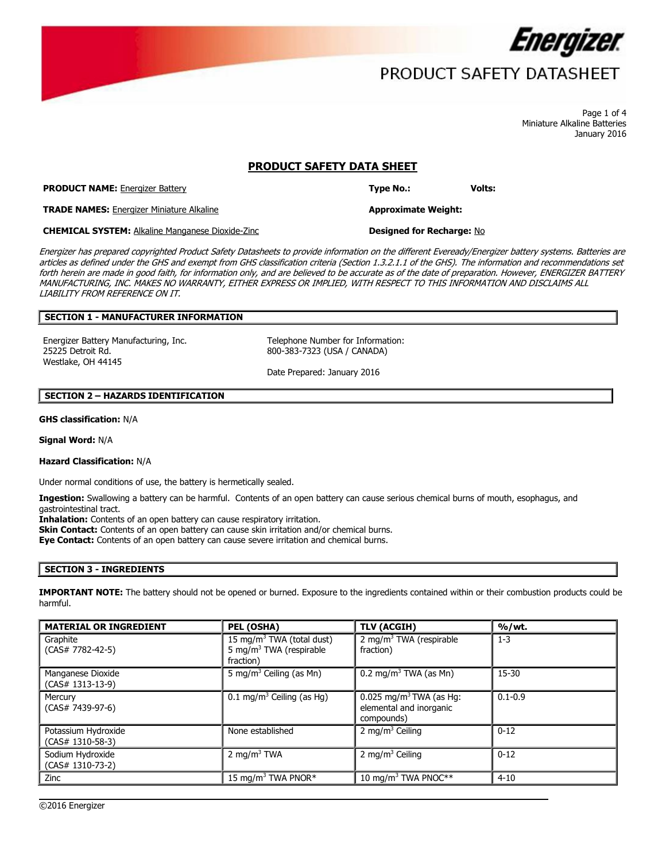

# PRODUCT SAFETY DATASHEET

Page 1 of 4 Miniature Alkaline Batteries January 2016

# **PRODUCT SAFETY DATA SHEET**

**PRODUCT NAME:** Energizer Battery **Type No.: Volts:**

**TRADE NAMES:** Energizer Miniature Alkaline **Approximate Weight:**

**CHEMICAL SYSTEM:** Alkaline Manganese Dioxide-Zinc **Designed for Recharge:** No

Energizer has prepared copyrighted Product Safety Datasheets to provide information on the different Eveready/Energizer battery systems. Batteries are articles as defined under the GHS and exempt from GHS classification criteria (Section 1.3.2.1.1 of the GHS). The information and recommendations set forth herein are made in good faith, for information only, and are believed to be accurate as of the date of preparation. However, ENERGIZER BATTERY MANUFACTURING, INC. MAKES NO WARRANTY, EITHER EXPRESS OR IMPLIED, WITH RESPECT TO THIS INFORMATION AND DISCLAIMS ALL LIABILITY FROM REFERENCE ON IT.

# **SECTION 1 - MANUFACTURER INFORMATION**

Energizer Battery Manufacturing, Inc. Telephone Number for Information: 25225 Detroit Rd. Westlake, OH 44145

800-383-7323 (USA / CANADA)

Date Prepared: January 2016

## **SECTION 2 – HAZARDS IDENTIFICATION**

**GHS classification:** N/A

**Signal Word:** N/A

#### **Hazard Classification:** N/A

Under normal conditions of use, the battery is hermetically sealed.

**Ingestion:** Swallowing a battery can be harmful. Contents of an open battery can cause serious chemical burns of mouth, esophagus, and gastrointestinal tract.

**Inhalation:** Contents of an open battery can cause respiratory irritation.

**Skin Contact:** Contents of an open battery can cause skin irritation and/or chemical burns.

**Eye Contact:** Contents of an open battery can cause severe irritation and chemical burns.

## **SECTION 3 - INGREDIENTS**

**IMPORTANT NOTE:** The battery should not be opened or burned. Exposure to the ingredients contained within or their combustion products could be harmful.

| <b>MATERIAL OR INGREDIENT</b>             | PEL (OSHA)                                                                                | <b>TLV (ACGIH)</b>                                                             | % / wt.     |
|-------------------------------------------|-------------------------------------------------------------------------------------------|--------------------------------------------------------------------------------|-------------|
| Graphite<br>(CAS# 7782-42-5)              | 15 mg/m <sup>3</sup> TWA (total dust)<br>5 mg/m <sup>3</sup> TWA (respirable<br>fraction) | 2 mg/m <sup>3</sup> TWA (respirable<br>fraction)                               | $1 - 3$     |
| Manganese Dioxide<br>$(CAS# 1313-13-9)$   | 5 mg/m <sup>3</sup> Ceiling (as Mn)                                                       | $0.2 \text{ mg/m}^3$ TWA (as Mn)                                               | 15-30       |
| Mercury<br>$(CAS# 7439-97-6)$             | 0.1 mg/m <sup>3</sup> Ceiling (as Hg)                                                     | $0.025$ mg/m <sup>3</sup> TWA (as Hg:<br>elemental and inorganic<br>compounds) | $0.1 - 0.9$ |
| Potassium Hydroxide<br>$(CAS# 1310-58-3)$ | None established                                                                          | 2 mg/m <sup>3</sup> Ceiling                                                    | $0 - 12$    |
| Sodium Hydroxide<br>$(CAS# 1310-73-2)$    | 2 mg/m <sup>3</sup> TWA                                                                   | 2 mg/m <sup>3</sup> Ceiling                                                    | $0 - 12$    |
| Zinc                                      | 15 mg/m <sup>3</sup> TWA PNOR*                                                            | 10 mg/m <sup>3</sup> TWA PNOC**                                                | $4 - 10$    |

 $\overline{\phantom{a}}$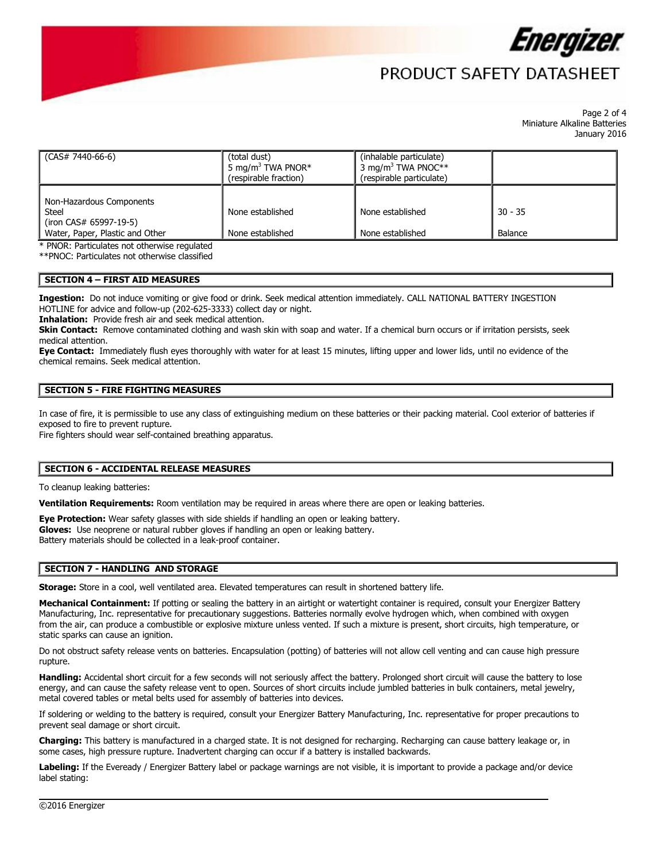

# PRODUCT SAFFTY DATASHFFT

Page 2 of 4 Miniature Alkaline Batteries January 2016

| (CAS# 7440-66-6)                                                                                      | (total dust)<br>5 mg/m <sup>3</sup> TWA PNOR*<br>(respirable fraction) | (inhalable particulate)<br>3 mg/m <sup>3</sup> TWA PNOC**<br>(respirable particulate) |                      |
|-------------------------------------------------------------------------------------------------------|------------------------------------------------------------------------|---------------------------------------------------------------------------------------|----------------------|
| Non-Hazardous Components<br><b>Steel</b><br>(iron CAS# 65997-19-5)<br>Water, Paper, Plastic and Other | None established<br>None established                                   | None established<br>None established                                                  | $30 - 35$<br>Balance |

\* PNOR: Particulates not otherwise regulated

\*\*PNOC: Particulates not otherwise classified

### **SECTION 4 – FIRST AID MEASURES**

**Ingestion:** Do not induce vomiting or give food or drink. Seek medical attention immediately. CALL NATIONAL BATTERY INGESTION HOTLINE for advice and follow-up (202-625-3333) collect day or night.

**Inhalation:** Provide fresh air and seek medical attention.

**Skin Contact:** Remove contaminated clothing and wash skin with soap and water. If a chemical burn occurs or if irritation persists, seek medical attention.

**Eye Contact:** Immediately flush eyes thoroughly with water for at least 15 minutes, lifting upper and lower lids, until no evidence of the chemical remains. Seek medical attention.

## **SECTION 5 - FIRE FIGHTING MEASURES**

In case of fire, it is permissible to use any class of extinguishing medium on these batteries or their packing material. Cool exterior of batteries if exposed to fire to prevent rupture.

Fire fighters should wear self-contained breathing apparatus.

### **SECTION 6 - ACCIDENTAL RELEASE MEASURES**

To cleanup leaking batteries:

**Ventilation Requirements:** Room ventilation may be required in areas where there are open or leaking batteries.

**Eye Protection:** Wear safety glasses with side shields if handling an open or leaking battery.

**Gloves:** Use neoprene or natural rubber gloves if handling an open or leaking battery. Battery materials should be collected in a leak-proof container.

## **SECTION 7 - HANDLING AND STORAGE**

**Storage:** Store in a cool, well ventilated area. Elevated temperatures can result in shortened battery life.

Mechanical Containment: If potting or sealing the battery in an airtight or watertight container is required, consult your Energizer Battery Manufacturing, Inc. representative for precautionary suggestions. Batteries normally evolve hydrogen which, when combined with oxygen from the air, can produce a combustible or explosive mixture unless vented. If such a mixture is present, short circuits, high temperature, or static sparks can cause an ignition.

Do not obstruct safety release vents on batteries. Encapsulation (potting) of batteries will not allow cell venting and can cause high pressure rupture.

**Handling:** Accidental short circuit for a few seconds will not seriously affect the battery. Prolonged short circuit will cause the battery to lose energy, and can cause the safety release vent to open. Sources of short circuits include jumbled batteries in bulk containers, metal jewelry, metal covered tables or metal belts used for assembly of batteries into devices.

If soldering or welding to the battery is required, consult your Energizer Battery Manufacturing, Inc. representative for proper precautions to prevent seal damage or short circuit.

**Charging:** This battery is manufactured in a charged state. It is not designed for recharging. Recharging can cause battery leakage or, in some cases, high pressure rupture. Inadvertent charging can occur if a battery is installed backwards.

**Labeling:** If the Eveready / Energizer Battery label or package warnings are not visible, it is important to provide a package and/or device label stating:

 $\overline{\phantom{a}}$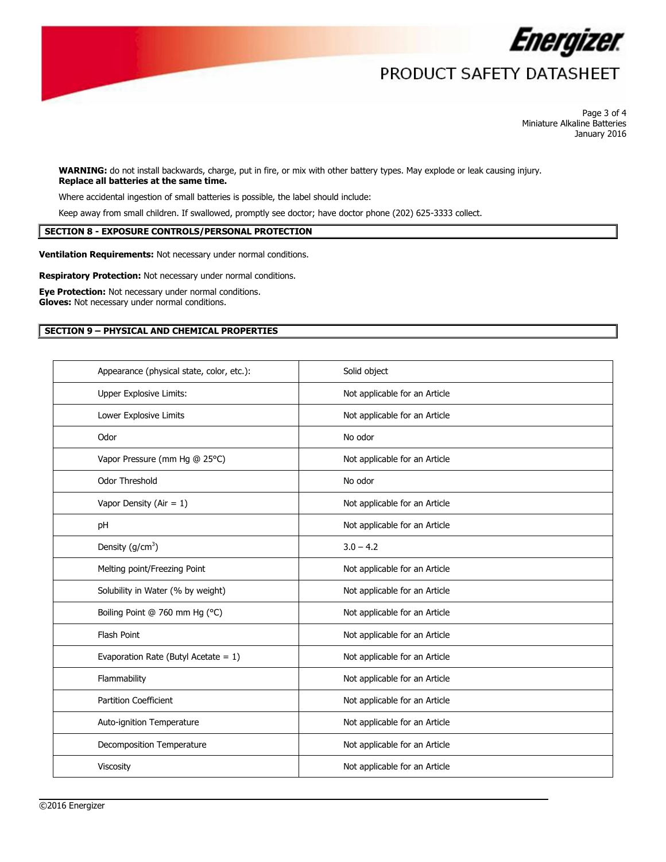

# PRODUCT SAFETY DATASHEET

Page 3 of 4 Miniature Alkaline Batteries January 2016

**WARNING:** do not install backwards, charge, put in fire, or mix with other battery types. May explode or leak causing injury. **Replace all batteries at the same time.**

Where accidental ingestion of small batteries is possible, the label should include:

Keep away from small children. If swallowed, promptly see doctor; have doctor phone (202) 625-3333 collect.

# **SECTION 8 - EXPOSURE CONTROLS/PERSONAL PROTECTION**

**Ventilation Requirements:** Not necessary under normal conditions.

**Respiratory Protection:** Not necessary under normal conditions.

**Eye Protection:** Not necessary under normal conditions. **Gloves:** Not necessary under normal conditions.

## **SECTION 9 – PHYSICAL AND CHEMICAL PROPERTIES**

| Appearance (physical state, color, etc.): | Solid object                  |
|-------------------------------------------|-------------------------------|
| Upper Explosive Limits:                   | Not applicable for an Article |
| Lower Explosive Limits                    | Not applicable for an Article |
| Odor                                      | No odor                       |
| Vapor Pressure (mm Hg @ 25°C)             | Not applicable for an Article |
| Odor Threshold                            | No odor                       |
| Vapor Density (Air = $1$ )                | Not applicable for an Article |
| pH                                        | Not applicable for an Article |
| Density $(g/cm3)$                         | $3.0 - 4.2$                   |
| Melting point/Freezing Point              | Not applicable for an Article |
| Solubility in Water (% by weight)         | Not applicable for an Article |
| Boiling Point @ 760 mm Hg (°C)            | Not applicable for an Article |
| Flash Point                               | Not applicable for an Article |
| Evaporation Rate (Butyl Acetate = $1$ )   | Not applicable for an Article |
| Flammability                              | Not applicable for an Article |
| <b>Partition Coefficient</b>              | Not applicable for an Article |
| Auto-ignition Temperature                 | Not applicable for an Article |
| Decomposition Temperature                 | Not applicable for an Article |
| Viscosity                                 | Not applicable for an Article |

 $\overline{\phantom{a}}$